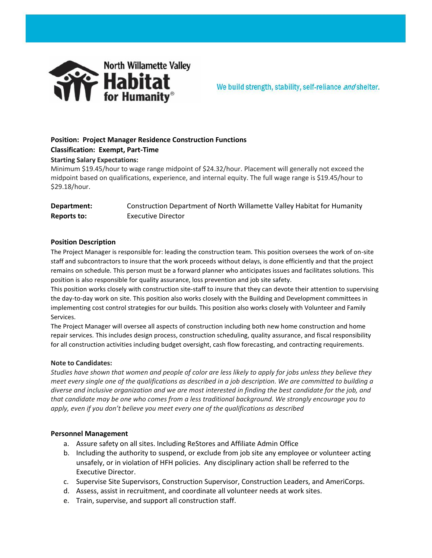

We build strength, stability, self-reliance and shelter.

# **Position: Project Manager Residence Construction Functions**

# **Classification: Exempt, Part-Time**

## **Starting Salary Expectations:**

Minimum \$19.45/hour to wage range midpoint of \$24.32/hour. Placement will generally not exceed the midpoint based on qualifications, experience, and internal equity. The full wage range is \$19.45/hour to \$29.18/hour.

| Department: | Construction Department of North Willamette Valley Habitat for Humanity |
|-------------|-------------------------------------------------------------------------|
| Reports to: | Executive Director                                                      |

### **Position Description**

The Project Manager is responsible for: leading the construction team. This position oversees the work of on-site staff and subcontractors to insure that the work proceeds without delays, is done efficiently and that the project remains on schedule. This person must be a forward planner who anticipates issues and facilitates solutions. This position is also responsible for quality assurance, loss prevention and job site safety.

This position works closely with construction site-staff to insure that they can devote their attention to supervising the day-to-day work on site. This position also works closely with the Building and Development committees in implementing cost control strategies for our builds. This position also works closely with Volunteer and Family Services.

The Project Manager will oversee all aspects of construction including both new home construction and home repair services. This includes design process, construction scheduling, quality assurance, and fiscal responsibility for all construction activities including budget oversight, cash flow forecasting, and contracting requirements.

#### **Note to Candidates:**

*Studies have shown that women and people of color are less likely to apply for jobs unless they believe they meet every single one of the qualifications as described in a job description. We are committed to building a diverse and inclusive organization and we are most interested in finding the best candidate for the job, and that candidate may be one who comes from a less traditional background. We strongly encourage you to apply, even if you don't believe you meet every one of the qualifications as described*

#### **Personnel Management**

- a. Assure safety on all sites. Including ReStores and Affiliate Admin Office
- b. Including the authority to suspend, or exclude from job site any employee or volunteer acting unsafely, or in violation of HFH policies. Any disciplinary action shall be referred to the Executive Director.
- c. Supervise Site Supervisors, Construction Supervisor, Construction Leaders, and AmeriCorps.
- d. Assess, assist in recruitment, and coordinate all volunteer needs at work sites.
- e. Train, supervise, and support all construction staff.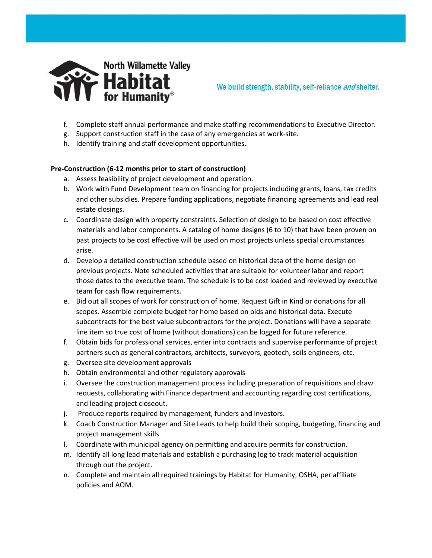

- f. Complete staff annual performance and make staffing recommendations to Executive Director.
- g. Support construction staff in the case of any emergencies at work-site.
- h. Identify training and staff development opportunities.

# **Pre-Construction (6-12 months prior to start of construction)**

- a. Assess feasibility of project development and operation.
- b. Work with Fund Development team on financing for projects including grants, loans, tax credits and other subsidies. Prepare funding applications, negotiate financing agreements and lead real estate closings.
- c. Coordinate design with property constraints. Selection of design to be based on cost effective materials and labor components. A catalog of home designs (6 to 10) that have been proven on past projects to be cost effective will be used on most projects unless special circumstances arise.
- d. Develop a detailed construction schedule based on historical data of the home design on previous projects. Note scheduled activities that are suitable for volunteer labor and report those dates to the executive team. The schedule is to be cost loaded and reviewed by executive team for cash flow requirements.
- e. Bid out all scopes of work for construction of home. Request Gift in Kind or donations for all scopes. Assemble complete budget for home based on bids and historical data. Execute subcontracts for the best value subcontractors for the project. Donations will have a separate line item so true cost of home (without donations) can be logged for future reference.
- f. Obtain bids for professional services, enter into contracts and supervise performance of project partners such as general contractors, architects, surveyors, geotech, soils engineers, etc.
- g. Oversee site development approvals
- h. Obtain environmental and other regulatory approvals
- i. Oversee the construction management process including preparation of requisitions and draw requests, collaborating with Finance department and accounting regarding cost certifications, and leading project closeout.
- j. Produce reports required by management, funders and investors.
- k. Coach Construction Manager and Site Leads to help build their scoping, budgeting, financing and project management skills
- l. Coordinate with municipal agency on permitting and acquire permits for construction.
- m. Identify all long lead materials and establish a purchasing log to track material acquisition through out the project.
- n. Complete and maintain all required trainings by Habitat for Humanity, OSHA, per affiliate policies and AOM.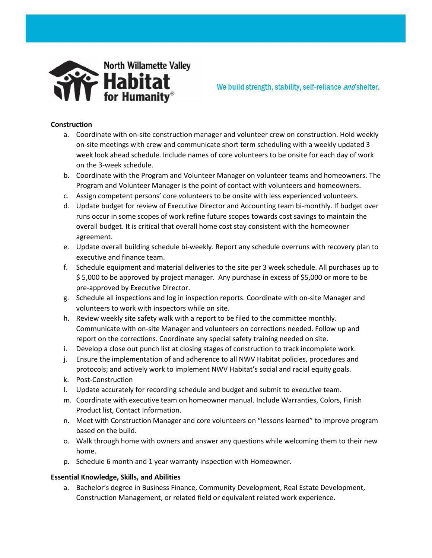

We build strength, stability, self-reliance and shelter.

### **Construction**

- a. Coordinate with on-site construction manager and volunteer crew on construction. Hold weekly on-site meetings with crew and communicate short term scheduling with a weekly updated 3 week look ahead schedule. Include names of core volunteers to be onsite for each day of work on the 3-week schedule.
- b. Coordinate with the Program and Volunteer Manager on volunteer teams and homeowners. The Program and Volunteer Manager is the point of contact with volunteers and homeowners.
- c. Assign competent persons' core volunteers to be onsite with less experienced volunteers.
- d. Update budget for review of Executive Director and Accounting team bi-monthly. If budget over runs occur in some scopes of work refine future scopes towards cost savings to maintain the overall budget. It is critical that overall home cost stay consistent with the homeowner agreement.
- e. Update overall building schedule bi-weekly. Report any schedule overruns with recovery plan to executive and finance team.
- f. Schedule equipment and material deliveries to the site per 3 week schedule. All purchases up to \$ 5,000 to be approved by project manager. Any purchase in excess of \$5,000 or more to be pre-approved by Executive Director.
- g. Schedule all inspections and log in inspection reports. Coordinate with on-site Manager and volunteers to work with inspectors while on site.
- h. Review weekly site safety walk with a report to be filed to the committee monthly. Communicate with on-site Manager and volunteers on corrections needed. Follow up and report on the corrections. Coordinate any special safety training needed on site.
- i. Develop a close out punch list at closing stages of construction to track incomplete work.
- j. Ensure the implementation of and adherence to all NWV Habitat policies, procedures and protocols; and actively work to implement NWV Habitat's social and racial equity goals.
- k. Post-Construction
- l. Update accurately for recording schedule and budget and submit to executive team.
- m. Coordinate with executive team on homeowner manual. Include Warranties, Colors, Finish Product list, Contact Information.
- n. Meet with Construction Manager and core volunteers on "lessons learned" to improve program based on the build.
- o. Walk through home with owners and answer any questions while welcoming them to their new home.
- p. Schedule 6 month and 1 year warranty inspection with Homeowner.

## **Essential Knowledge, Skills, and Abilities**

a. Bachelor's degree in Business Finance, Community Development, Real Estate Development, Construction Management, or related field or equivalent related work experience.